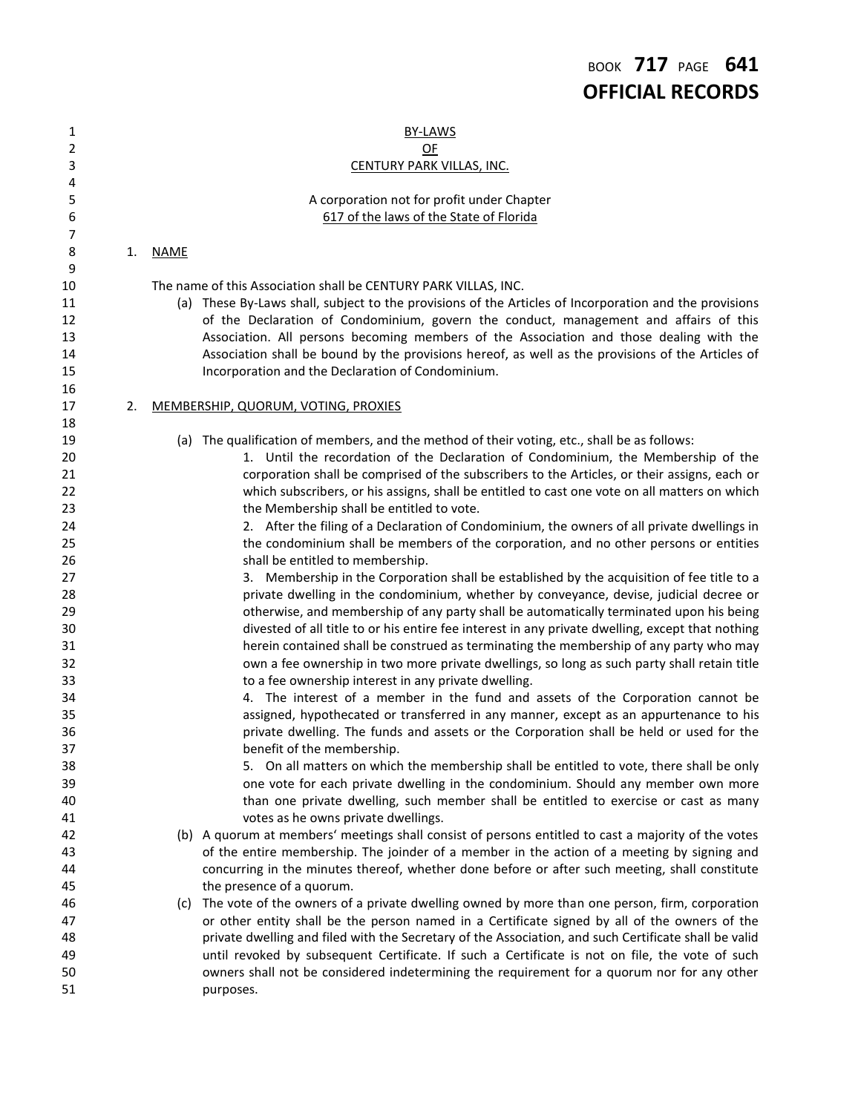| 1        |    |             | <b>BY-LAWS</b>                                                                                                                                                                        |
|----------|----|-------------|---------------------------------------------------------------------------------------------------------------------------------------------------------------------------------------|
| 2        |    |             | $OF$                                                                                                                                                                                  |
| 3        |    |             | <b>CENTURY PARK VILLAS, INC.</b>                                                                                                                                                      |
| 4        |    |             |                                                                                                                                                                                       |
| 5        |    |             | A corporation not for profit under Chapter                                                                                                                                            |
| 6        |    |             | 617 of the laws of the State of Florida                                                                                                                                               |
| 7        |    |             |                                                                                                                                                                                       |
| 8        | 1. | <b>NAME</b> |                                                                                                                                                                                       |
| 9        |    |             |                                                                                                                                                                                       |
| 10       |    |             | The name of this Association shall be CENTURY PARK VILLAS, INC.<br>(a) These By-Laws shall, subject to the provisions of the Articles of Incorporation and the provisions             |
| 11<br>12 |    |             | of the Declaration of Condominium, govern the conduct, management and affairs of this                                                                                                 |
| 13       |    |             | Association. All persons becoming members of the Association and those dealing with the                                                                                               |
| 14       |    |             | Association shall be bound by the provisions hereof, as well as the provisions of the Articles of                                                                                     |
| 15       |    |             | Incorporation and the Declaration of Condominium.                                                                                                                                     |
| 16       |    |             |                                                                                                                                                                                       |
| 17       | 2. |             | MEMBERSHIP, QUORUM, VOTING, PROXIES                                                                                                                                                   |
| 18       |    |             |                                                                                                                                                                                       |
| 19       |    |             | (a) The qualification of members, and the method of their voting, etc., shall be as follows:                                                                                          |
| 20       |    |             | 1. Until the recordation of the Declaration of Condominium, the Membership of the                                                                                                     |
| 21       |    |             | corporation shall be comprised of the subscribers to the Articles, or their assigns, each or                                                                                          |
| 22       |    |             | which subscribers, or his assigns, shall be entitled to cast one vote on all matters on which                                                                                         |
| 23       |    |             | the Membership shall be entitled to vote.                                                                                                                                             |
| 24       |    |             | 2. After the filing of a Declaration of Condominium, the owners of all private dwellings in                                                                                           |
| 25       |    |             | the condominium shall be members of the corporation, and no other persons or entities                                                                                                 |
| 26       |    |             | shall be entitled to membership.                                                                                                                                                      |
| 27       |    |             | 3. Membership in the Corporation shall be established by the acquisition of fee title to a                                                                                            |
| 28       |    |             | private dwelling in the condominium, whether by conveyance, devise, judicial decree or                                                                                                |
| 29       |    |             | otherwise, and membership of any party shall be automatically terminated upon his being                                                                                               |
| 30       |    |             | divested of all title to or his entire fee interest in any private dwelling, except that nothing                                                                                      |
| 31<br>32 |    |             | herein contained shall be construed as terminating the membership of any party who may<br>own a fee ownership in two more private dwellings, so long as such party shall retain title |
| 33       |    |             | to a fee ownership interest in any private dwelling.                                                                                                                                  |
| 34       |    |             | 4. The interest of a member in the fund and assets of the Corporation cannot be                                                                                                       |
| 35       |    |             | assigned, hypothecated or transferred in any manner, except as an appurtenance to his                                                                                                 |
| 36       |    |             | private dwelling. The funds and assets or the Corporation shall be held or used for the                                                                                               |
| 37       |    |             | benefit of the membership.                                                                                                                                                            |
| 38       |    |             | 5. On all matters on which the membership shall be entitled to vote, there shall be only                                                                                              |
| 39       |    |             | one vote for each private dwelling in the condominium. Should any member own more                                                                                                     |
| 40       |    |             | than one private dwelling, such member shall be entitled to exercise or cast as many                                                                                                  |
| 41       |    |             | votes as he owns private dwellings.                                                                                                                                                   |
| 42       |    |             | (b) A quorum at members' meetings shall consist of persons entitled to cast a majority of the votes                                                                                   |
| 43       |    |             | of the entire membership. The joinder of a member in the action of a meeting by signing and                                                                                           |
| 44       |    |             | concurring in the minutes thereof, whether done before or after such meeting, shall constitute                                                                                        |
| 45       |    |             | the presence of a quorum.                                                                                                                                                             |
| 46       |    | (C)         | The vote of the owners of a private dwelling owned by more than one person, firm, corporation                                                                                         |
| 47       |    |             | or other entity shall be the person named in a Certificate signed by all of the owners of the                                                                                         |
| 48       |    |             | private dwelling and filed with the Secretary of the Association, and such Certificate shall be valid                                                                                 |
| 49       |    |             | until revoked by subsequent Certificate. If such a Certificate is not on file, the vote of such                                                                                       |
| 50       |    |             | owners shall not be considered indetermining the requirement for a quorum nor for any other                                                                                           |
| 51       |    |             | purposes.                                                                                                                                                                             |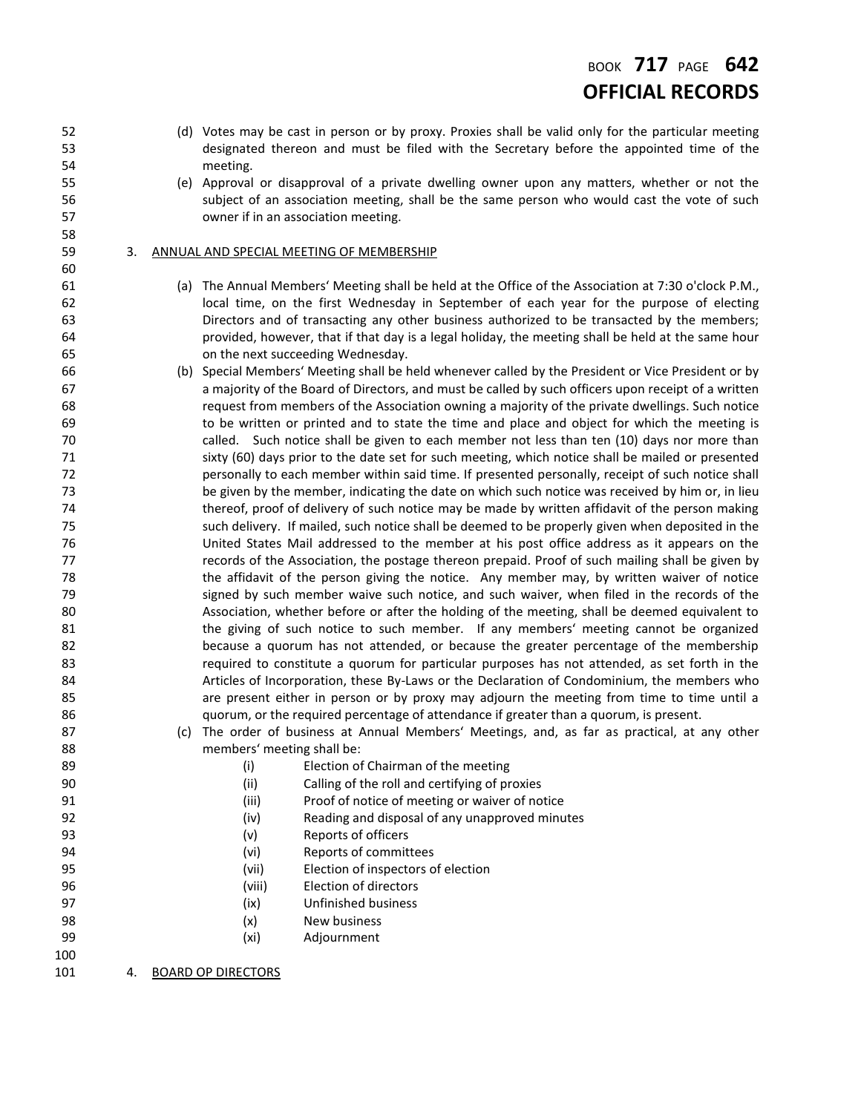# BOOK **717** PAGE **642 OFFICIAL RECORDS**

- (d) Votes may be cast in person or by proxy. Proxies shall be valid only for the particular meeting designated thereon and must be filed with the Secretary before the appointed time of the meeting.
- (e) Approval or disapproval of a private dwelling owner upon any matters, whether or not the subject of an association meeting, shall be the same person who would cast the vote of such owner if in an association meeting.

#### 3. ANNUAL AND SPECIAL MEETING OF MEMBERSHIP

- (a) The Annual Members' Meeting shall be held at the Office of the Association at 7:30 o'clock P.M., local time, on the first Wednesday in September of each year for the purpose of electing Directors and of transacting any other business authorized to be transacted by the members; provided, however, that if that day is a legal holiday, the meeting shall be held at the same hour on the next succeeding Wednesday.
- (b) Special Members' Meeting shall be held whenever called by the President or Vice President or by a majority of the Board of Directors, and must be called by such officers upon receipt of a written request from members of the Association owning a majority of the private dwellings. Such notice to be written or printed and to state the time and place and object for which the meeting is called. Such notice shall be given to each member not less than ten (10) days nor more than sixty (60) days prior to the date set for such meeting, which notice shall be mailed or presented 72 personally to each member within said time. If presented personally, receipt of such notice shall be given by the member, indicating the date on which such notice was received by him or, in lieu thereof, proof of delivery of such notice may be made by written affidavit of the person making such delivery. If mailed, such notice shall be deemed to be properly given when deposited in the United States Mail addressed to the member at his post office address as it appears on the **records of the Association, the postage thereon prepaid. Proof of such mailing shall be given by**  the affidavit of the person giving the notice. Any member may, by written waiver of notice signed by such member waive such notice, and such waiver, when filed in the records of the Association, whether before or after the holding of the meeting, shall be deemed equivalent to **the giving of such notice to such member.** If any members' meeting cannot be organized because a quorum has not attended, or because the greater percentage of the membership required to constitute a quorum for particular purposes has not attended, as set forth in the 84 Articles of Incorporation, these By-Laws or the Declaration of Condominium, the members who 85 are present either in person or by proxy may adjourn the meeting from time to time until a quorum, or the required percentage of attendance if greater than a quorum, is present.
- (c) The order of business at Annual Members' Meetings, and, as far as practical, at any other members' meeting shall be:
- (i) Election of Chairman of the meeting
- (ii) Calling of the roll and certifying of proxies
- (iii) Proof of notice of meeting or waiver of notice
- (iv) Reading and disposal of any unapproved minutes
- (v) Reports of officers
- (vi) Reports of committees
- (vii) Election of inspectors of election
- (viii) Election of directors
- (ix) Unfinished business
- (x) New business
- (xi) Adjournment
- 

4. BOARD OP DIRECTORS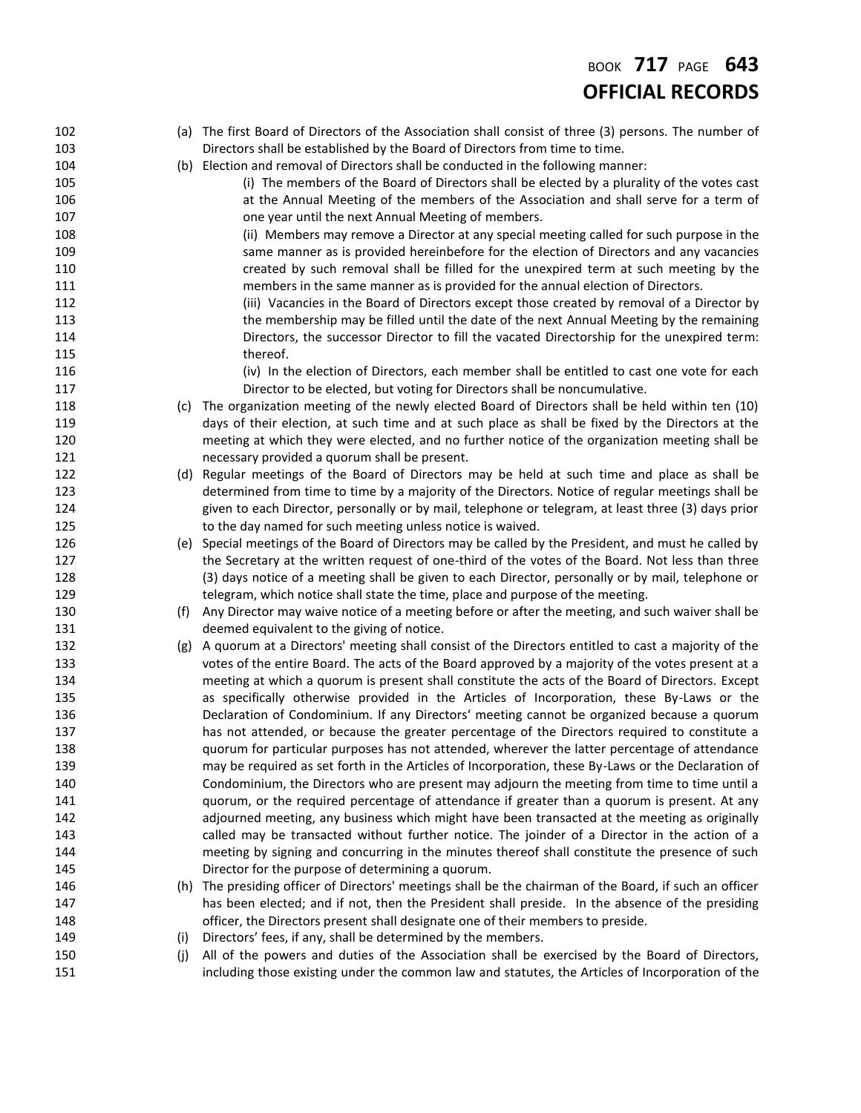# BOOK **717** PAGE **643 OFFICIAL RECORDS**

| 102        |     | (a) The first Board of Directors of the Association shall consist of three (3) persons. The number of                                          |
|------------|-----|------------------------------------------------------------------------------------------------------------------------------------------------|
| 103        |     | Directors shall be established by the Board of Directors from time to time.                                                                    |
| 104        |     | (b) Election and removal of Directors shall be conducted in the following manner:                                                              |
| 105        |     | (i) The members of the Board of Directors shall be elected by a plurality of the votes cast                                                    |
| 106        |     | at the Annual Meeting of the members of the Association and shall serve for a term of                                                          |
| 107        |     | one year until the next Annual Meeting of members.                                                                                             |
| 108        |     | (ii) Members may remove a Director at any special meeting called for such purpose in the                                                       |
| 109        |     | same manner as is provided hereinbefore for the election of Directors and any vacancies                                                        |
| 110        |     | created by such removal shall be filled for the unexpired term at such meeting by the                                                          |
| 111        |     | members in the same manner as is provided for the annual election of Directors.                                                                |
| 112        |     | (iii) Vacancies in the Board of Directors except those created by removal of a Director by                                                     |
| 113        |     | the membership may be filled until the date of the next Annual Meeting by the remaining                                                        |
| 114        |     | Directors, the successor Director to fill the vacated Directorship for the unexpired term:                                                     |
| 115        |     | thereof.                                                                                                                                       |
| 116        |     | (iv) In the election of Directors, each member shall be entitled to cast one vote for each                                                     |
| 117        |     | Director to be elected, but voting for Directors shall be noncumulative.                                                                       |
| 118        |     | (c) The organization meeting of the newly elected Board of Directors shall be held within ten (10)                                             |
| 119        |     | days of their election, at such time and at such place as shall be fixed by the Directors at the                                               |
| 120        |     | meeting at which they were elected, and no further notice of the organization meeting shall be                                                 |
|            |     |                                                                                                                                                |
| 121<br>122 |     | necessary provided a quorum shall be present.<br>(d) Regular meetings of the Board of Directors may be held at such time and place as shall be |
|            |     |                                                                                                                                                |
| 123        |     | determined from time to time by a majority of the Directors. Notice of regular meetings shall be                                               |
| 124        |     | given to each Director, personally or by mail, telephone or telegram, at least three (3) days prior                                            |
| 125        |     | to the day named for such meeting unless notice is waived.                                                                                     |
| 126        |     | (e) Special meetings of the Board of Directors may be called by the President, and must he called by                                           |
| 127        |     | the Secretary at the written request of one-third of the votes of the Board. Not less than three                                               |
| 128        |     | (3) days notice of a meeting shall be given to each Director, personally or by mail, telephone or                                              |
| 129        |     | telegram, which notice shall state the time, place and purpose of the meeting.                                                                 |
| 130        | (f) | Any Director may waive notice of a meeting before or after the meeting, and such waiver shall be                                               |
| 131        |     | deemed equivalent to the giving of notice.                                                                                                     |
| 132        | (g) | A quorum at a Directors' meeting shall consist of the Directors entitled to cast a majority of the                                             |
| 133        |     | votes of the entire Board. The acts of the Board approved by a majority of the votes present at a                                              |
| 134        |     | meeting at which a quorum is present shall constitute the acts of the Board of Directors. Except                                               |
| 135        |     | as specifically otherwise provided in the Articles of Incorporation, these By-Laws or the                                                      |
| 136        |     | Declaration of Condominium. If any Directors' meeting cannot be organized because a quorum                                                     |
| 137        |     | has not attended, or because the greater percentage of the Directors required to constitute a                                                  |
| 138        |     | quorum for particular purposes has not attended, wherever the latter percentage of attendance                                                  |
| 139        |     | may be required as set forth in the Articles of Incorporation, these By-Laws or the Declaration of                                             |
| 140        |     | Condominium, the Directors who are present may adjourn the meeting from time to time until a                                                   |
| 141        |     | quorum, or the required percentage of attendance if greater than a quorum is present. At any                                                   |
| 142        |     | adjourned meeting, any business which might have been transacted at the meeting as originally                                                  |
| 143        |     | called may be transacted without further notice. The joinder of a Director in the action of a                                                  |
| 144        |     | meeting by signing and concurring in the minutes thereof shall constitute the presence of such                                                 |
| 145        |     | Director for the purpose of determining a quorum.                                                                                              |
| 146        |     | (h) The presiding officer of Directors' meetings shall be the chairman of the Board, if such an officer                                        |
| 147        |     | has been elected; and if not, then the President shall preside. In the absence of the presiding                                                |
| 148        |     | officer, the Directors present shall designate one of their members to preside.                                                                |
| 149        | (i) | Directors' fees, if any, shall be determined by the members.                                                                                   |
| 150        | (i) | All of the powers and duties of the Association shall be exercised by the Board of Directors,                                                  |
| 151        |     | including those existing under the common law and statutes, the Articles of Incorporation of the                                               |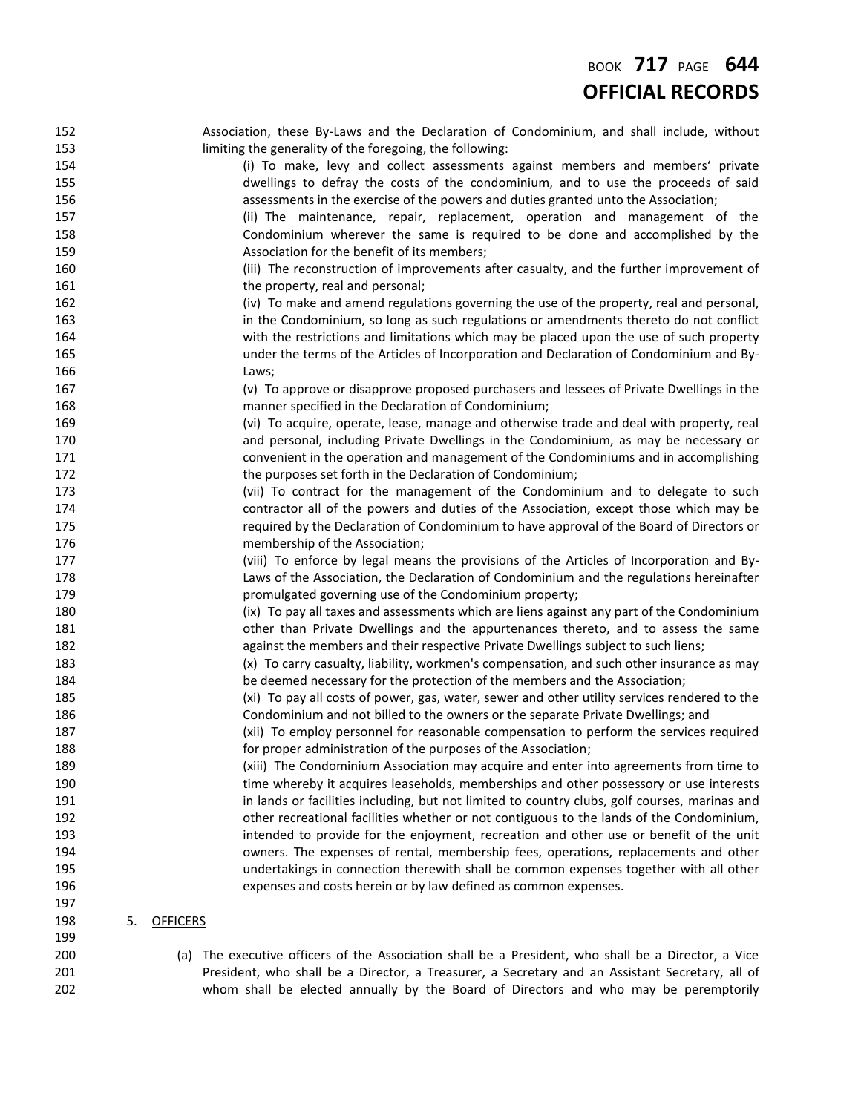| 152        |    |                 | Association, these By-Laws and the Declaration of Condominium, and shall include, without                                                                                       |
|------------|----|-----------------|---------------------------------------------------------------------------------------------------------------------------------------------------------------------------------|
| 153        |    |                 | limiting the generality of the foregoing, the following:                                                                                                                        |
| 154        |    |                 | (i) To make, levy and collect assessments against members and members' private                                                                                                  |
| 155        |    |                 | dwellings to defray the costs of the condominium, and to use the proceeds of said                                                                                               |
| 156        |    |                 | assessments in the exercise of the powers and duties granted unto the Association;                                                                                              |
| 157        |    |                 | (ii) The maintenance, repair, replacement, operation and management of the                                                                                                      |
| 158        |    |                 | Condominium wherever the same is required to be done and accomplished by the                                                                                                    |
| 159        |    |                 | Association for the benefit of its members;                                                                                                                                     |
| 160        |    |                 | (iii) The reconstruction of improvements after casualty, and the further improvement of                                                                                         |
| 161        |    |                 | the property, real and personal;                                                                                                                                                |
| 162        |    |                 | (iv) To make and amend regulations governing the use of the property, real and personal,                                                                                        |
| 163        |    |                 | in the Condominium, so long as such regulations or amendments thereto do not conflict                                                                                           |
| 164        |    |                 | with the restrictions and limitations which may be placed upon the use of such property                                                                                         |
| 165        |    |                 | under the terms of the Articles of Incorporation and Declaration of Condominium and By-                                                                                         |
| 166        |    |                 | Laws;                                                                                                                                                                           |
| 167        |    |                 | (v) To approve or disapprove proposed purchasers and lessees of Private Dwellings in the                                                                                        |
| 168        |    |                 | manner specified in the Declaration of Condominium;                                                                                                                             |
| 169        |    |                 | (vi) To acquire, operate, lease, manage and otherwise trade and deal with property, real                                                                                        |
| 170        |    |                 | and personal, including Private Dwellings in the Condominium, as may be necessary or                                                                                            |
| 171        |    |                 | convenient in the operation and management of the Condominiums and in accomplishing                                                                                             |
| 172        |    |                 | the purposes set forth in the Declaration of Condominium;                                                                                                                       |
| 173        |    |                 | (vii) To contract for the management of the Condominium and to delegate to such                                                                                                 |
| 174        |    |                 | contractor all of the powers and duties of the Association, except those which may be                                                                                           |
| 175        |    |                 | required by the Declaration of Condominium to have approval of the Board of Directors or                                                                                        |
| 176        |    |                 | membership of the Association;                                                                                                                                                  |
| 177        |    |                 | (viii) To enforce by legal means the provisions of the Articles of Incorporation and By-                                                                                        |
| 178        |    |                 | Laws of the Association, the Declaration of Condominium and the regulations hereinafter                                                                                         |
| 179        |    |                 | promulgated governing use of the Condominium property;                                                                                                                          |
| 180        |    |                 | (ix) To pay all taxes and assessments which are liens against any part of the Condominium                                                                                       |
| 181        |    |                 | other than Private Dwellings and the appurtenances thereto, and to assess the same                                                                                              |
| 182        |    |                 | against the members and their respective Private Dwellings subject to such liens;                                                                                               |
| 183        |    |                 | (x) To carry casualty, liability, workmen's compensation, and such other insurance as may                                                                                       |
| 184        |    |                 | be deemed necessary for the protection of the members and the Association;                                                                                                      |
| 185        |    |                 | (xi) To pay all costs of power, gas, water, sewer and other utility services rendered to the                                                                                    |
| 186        |    |                 | Condominium and not billed to the owners or the separate Private Dwellings; and                                                                                                 |
| 187        |    |                 | (xii) To employ personnel for reasonable compensation to perform the services required                                                                                          |
| 188        |    |                 | for proper administration of the purposes of the Association;                                                                                                                   |
| 189        |    |                 |                                                                                                                                                                                 |
| 190        |    |                 | (xiii) The Condominium Association may acquire and enter into agreements from time to<br>time whereby it acquires leaseholds, memberships and other possessory or use interests |
|            |    |                 |                                                                                                                                                                                 |
| 191        |    |                 | in lands or facilities including, but not limited to country clubs, golf courses, marinas and                                                                                   |
| 192        |    |                 | other recreational facilities whether or not contiguous to the lands of the Condominium,                                                                                        |
| 193        |    |                 | intended to provide for the enjoyment, recreation and other use or benefit of the unit                                                                                          |
| 194        |    |                 | owners. The expenses of rental, membership fees, operations, replacements and other                                                                                             |
| 195        |    |                 | undertakings in connection therewith shall be common expenses together with all other                                                                                           |
| 196        |    |                 | expenses and costs herein or by law defined as common expenses.                                                                                                                 |
| 197        |    |                 |                                                                                                                                                                                 |
| 198<br>199 | 5. | <b>OFFICERS</b> |                                                                                                                                                                                 |
|            |    |                 |                                                                                                                                                                                 |

 (a) The executive officers of the Association shall be a President, who shall be a Director, a Vice 201 President, who shall be a Director, a Treasurer, a Secretary and an Assistant Secretary, all of whom shall be elected annually by the Board of Directors and who may be peremptorily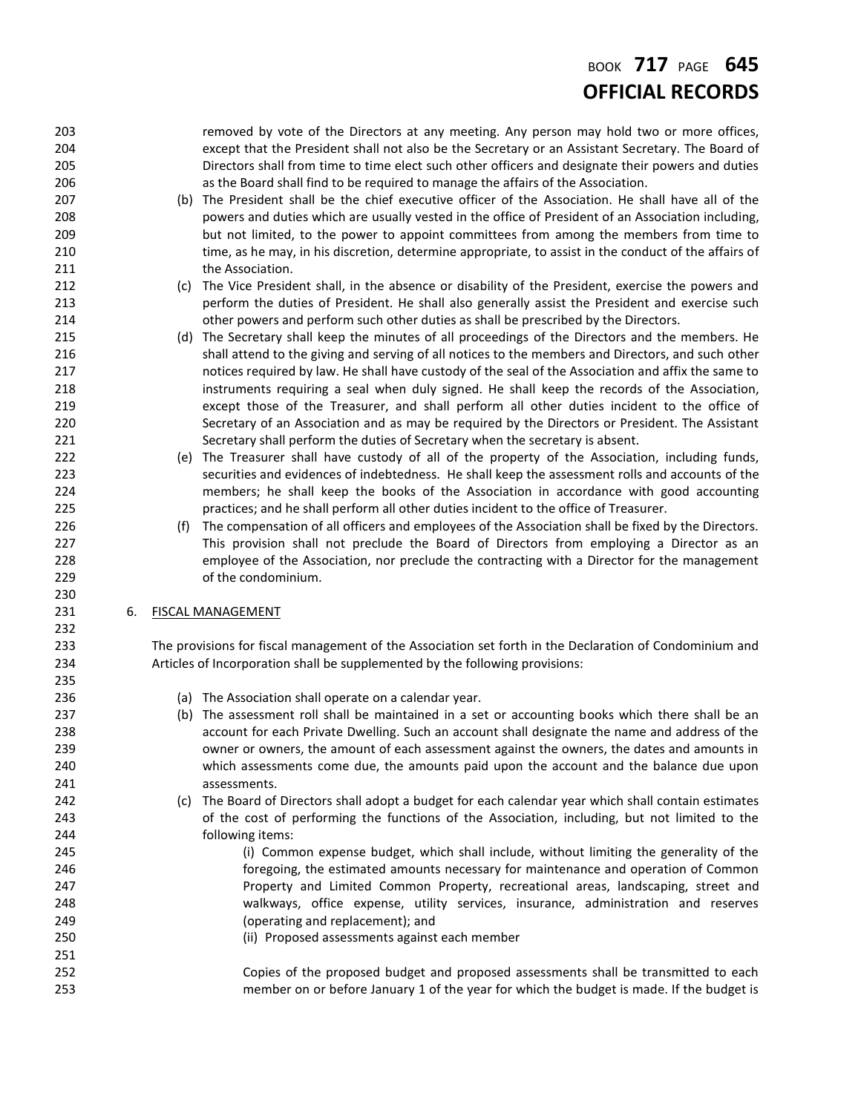# BOOK **717** PAGE **645 OFFICIAL RECORDS**

| 203        |    |     | removed by vote of the Directors at any meeting. Any person may hold two or more offices,               |
|------------|----|-----|---------------------------------------------------------------------------------------------------------|
| 204        |    |     | except that the President shall not also be the Secretary or an Assistant Secretary. The Board of       |
| 205        |    |     | Directors shall from time to time elect such other officers and designate their powers and duties       |
| 206        |    |     | as the Board shall find to be required to manage the affairs of the Association.                        |
| 207        |    |     | (b) The President shall be the chief executive officer of the Association. He shall have all of the     |
| 208        |    |     | powers and duties which are usually vested in the office of President of an Association including,      |
| 209        |    |     | but not limited, to the power to appoint committees from among the members from time to                 |
| 210        |    |     | time, as he may, in his discretion, determine appropriate, to assist in the conduct of the affairs of   |
| 211        |    |     | the Association.                                                                                        |
| 212        |    |     | (c) The Vice President shall, in the absence or disability of the President, exercise the powers and    |
| 213        |    |     | perform the duties of President. He shall also generally assist the President and exercise such         |
| 214        |    |     | other powers and perform such other duties as shall be prescribed by the Directors.                     |
| 215        |    |     | (d) The Secretary shall keep the minutes of all proceedings of the Directors and the members. He        |
| 216        |    |     | shall attend to the giving and serving of all notices to the members and Directors, and such other      |
| 217        |    |     | notices required by law. He shall have custody of the seal of the Association and affix the same to     |
| 218        |    |     | instruments requiring a seal when duly signed. He shall keep the records of the Association,            |
| 219        |    |     | except those of the Treasurer, and shall perform all other duties incident to the office of             |
| 220        |    |     | Secretary of an Association and as may be required by the Directors or President. The Assistant         |
| 221        |    |     | Secretary shall perform the duties of Secretary when the secretary is absent.                           |
| 222        |    |     | (e) The Treasurer shall have custody of all of the property of the Association, including funds,        |
| 223        |    |     | securities and evidences of indebtedness. He shall keep the assessment rolls and accounts of the        |
| 224        |    |     | members; he shall keep the books of the Association in accordance with good accounting                  |
| 225        |    |     | practices; and he shall perform all other duties incident to the office of Treasurer.                   |
| 226        |    | (f) | The compensation of all officers and employees of the Association shall be fixed by the Directors.      |
| 227        |    |     | This provision shall not preclude the Board of Directors from employing a Director as an                |
| 228        |    |     | employee of the Association, nor preclude the contracting with a Director for the management            |
| 229        |    |     | of the condominium.                                                                                     |
| 230        |    |     |                                                                                                         |
| 231<br>232 | 6. |     | <b>FISCAL MANAGEMENT</b>                                                                                |
| 233        |    |     | The provisions for fiscal management of the Association set forth in the Declaration of Condominium and |
| 234        |    |     | Articles of Incorporation shall be supplemented by the following provisions:                            |
| 235        |    |     |                                                                                                         |
| 236        |    |     | (a) The Association shall operate on a calendar year.                                                   |
| 237        |    |     | (b) The assessment roll shall be maintained in a set or accounting books which there shall be an        |
| 238        |    |     | account for each Private Dwelling. Such an account shall designate the name and address of the          |
| 239        |    |     | owner or owners, the amount of each assessment against the owners, the dates and amounts in             |
| 240        |    |     | which assessments come due, the amounts paid upon the account and the balance due upon                  |
| 241        |    |     | assessments.                                                                                            |
| 242        |    |     | (c) The Board of Directors shall adopt a budget for each calendar year which shall contain estimates    |
| 243        |    |     | of the cost of performing the functions of the Association, including, but not limited to the           |
| 244        |    |     | following items:                                                                                        |
| 245        |    |     | (i) Common expense budget, which shall include, without limiting the generality of the                  |
| 246        |    |     | foregoing, the estimated amounts necessary for maintenance and operation of Common                      |
| 247        |    |     | Property and Limited Common Property, recreational areas, landscaping, street and                       |
| 248        |    |     | walkways, office expense, utility services, insurance, administration and reserves                      |
| 249        |    |     | (operating and replacement); and                                                                        |
|            |    |     | (ii) Proposed assessments against each member                                                           |
| 250        |    |     |                                                                                                         |
| 251        |    |     |                                                                                                         |
| 252        |    |     | Copies of the proposed budget and proposed assessments shall be transmitted to each                     |
| 253        |    |     | member on or before January 1 of the year for which the budget is made. If the budget is                |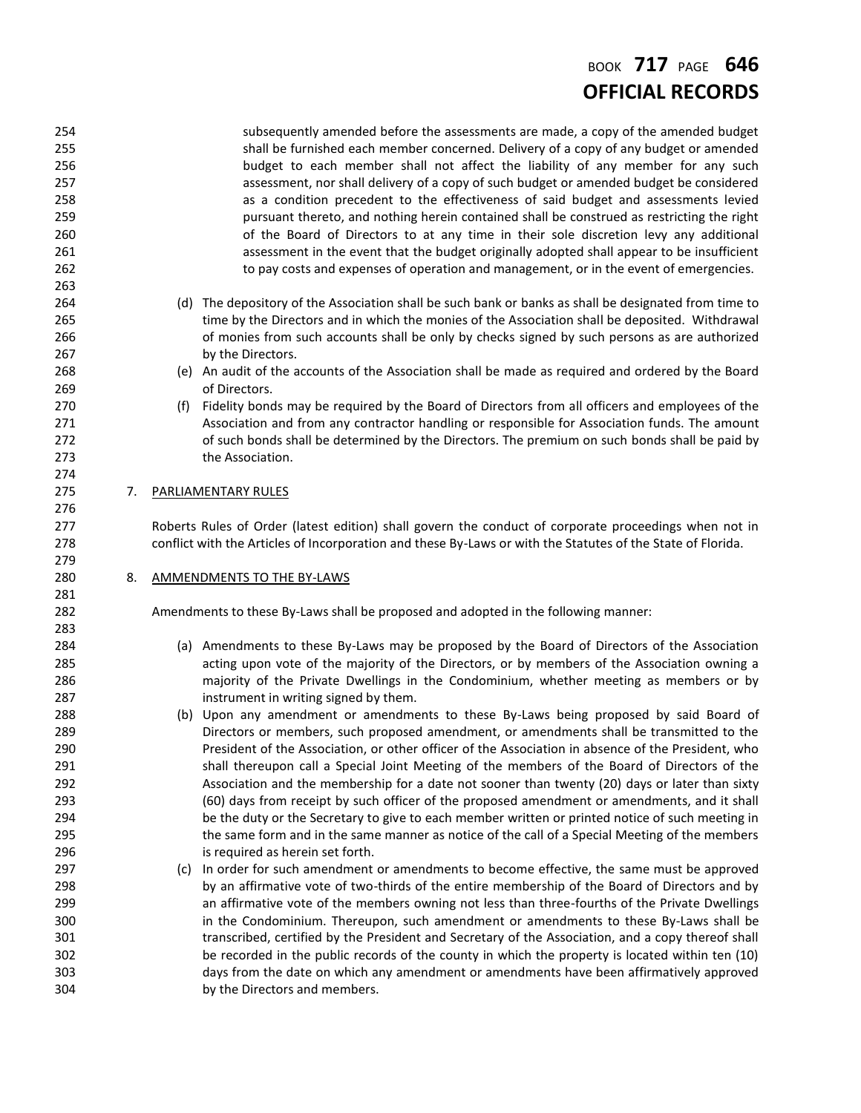# BOOK **717** PAGE **646 OFFICIAL RECORDS**

 subsequently amended before the assessments are made, a copy of the amended budget shall be furnished each member concerned. Delivery of a copy of any budget or amended budget to each member shall not affect the liability of any member for any such assessment, nor shall delivery of a copy of such budget or amended budget be considered as a condition precedent to the effectiveness of said budget and assessments levied pursuant thereto, and nothing herein contained shall be construed as restricting the right 260 of the Board of Directors to at any time in their sole discretion levy any additional assessment in the event that the budget originally adopted shall appear to be insufficient 262 to pay costs and expenses of operation and management, or in the event of emergencies. (d) The depository of the Association shall be such bank or banks as shall be designated from time to time by the Directors and in which the monies of the Association shall be deposited. Withdrawal of monies from such accounts shall be only by checks signed by such persons as are authorized by the Directors. (e) An audit of the accounts of the Association shall be made as required and ordered by the Board of Directors. (f) Fidelity bonds may be required by the Board of Directors from all officers and employees of the Association and from any contractor handling or responsible for Association funds. The amount 272 of such bonds shall be determined by the Directors. The premium on such bonds shall be paid by the Association. 7. PARLIAMENTARY RULES Roberts Rules of Order (latest edition) shall govern the conduct of corporate proceedings when not in conflict with the Articles of Incorporation and these By-Laws or with the Statutes of the State of Florida. 280 8. AMMENDMENTS TO THE BY-LAWS Amendments to these By-Laws shall be proposed and adopted in the following manner: (a) Amendments to these By-Laws may be proposed by the Board of Directors of the Association acting upon vote of the majority of the Directors, or by members of the Association owning a majority of the Private Dwellings in the Condominium, whether meeting as members or by instrument in writing signed by them. (b) Upon any amendment or amendments to these By-Laws being proposed by said Board of Directors or members, such proposed amendment, or amendments shall be transmitted to the President of the Association, or other officer of the Association in absence of the President, who shall thereupon call a Special Joint Meeting of the members of the Board of Directors of the Association and the membership for a date not sooner than twenty (20) days or later than sixty (60) days from receipt by such officer of the proposed amendment or amendments, and it shall be the duty or the Secretary to give to each member written or printed notice of such meeting in the same form and in the same manner as notice of the call of a Special Meeting of the members is required as herein set forth. (c) In order for such amendment or amendments to become effective, the same must be approved by an affirmative vote of two-thirds of the entire membership of the Board of Directors and by an affirmative vote of the members owning not less than three-fourths of the Private Dwellings in the Condominium. Thereupon, such amendment or amendments to these By-Laws shall be transcribed, certified by the President and Secretary of the Association, and a copy thereof shall be recorded in the public records of the county in which the property is located within ten (10) days from the date on which any amendment or amendments have been affirmatively approved by the Directors and members.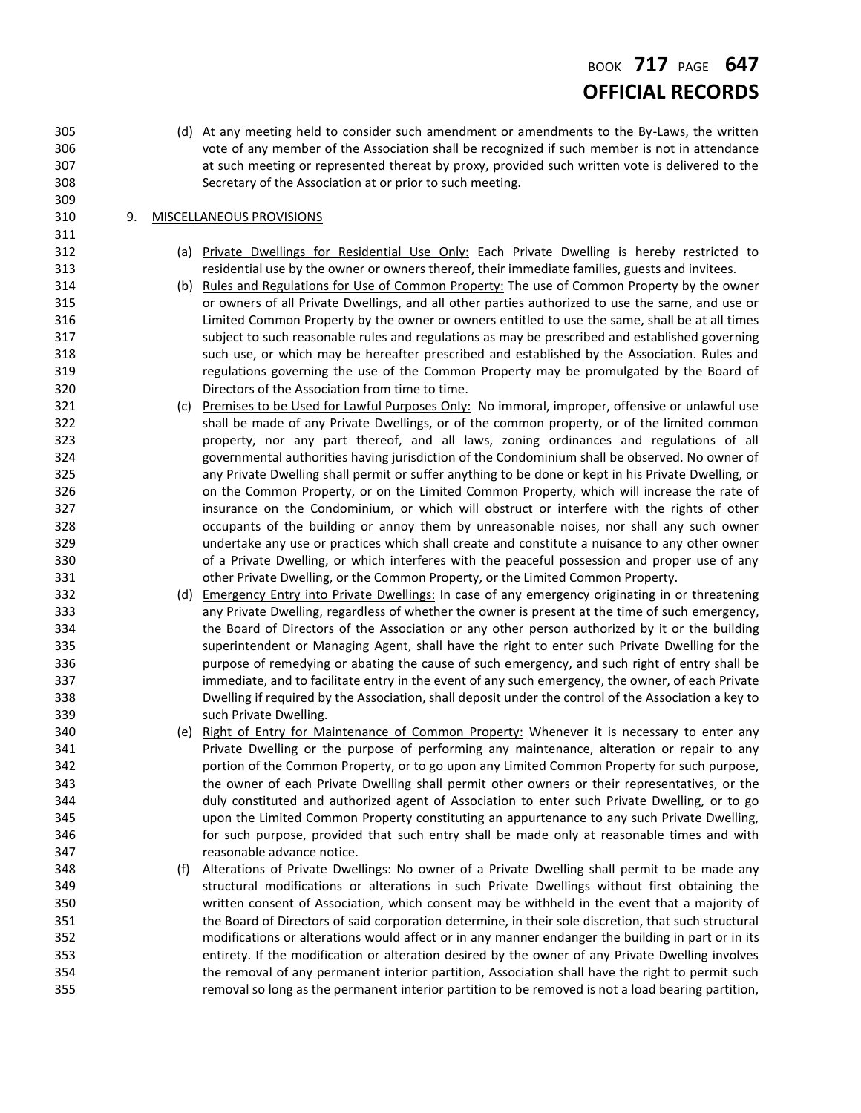# BOOK **717** PAGE **647 OFFICIAL RECORDS**

 (d) At any meeting held to consider such amendment or amendments to the By-Laws, the written vote of any member of the Association shall be recognized if such member is not in attendance at such meeting or represented thereat by proxy, provided such written vote is delivered to the Secretary of the Association at or prior to such meeting.

#### 9. MISCELLANEOUS PROVISIONS

- (a) Private Dwellings for Residential Use Only: Each Private Dwelling is hereby restricted to residential use by the owner or owners thereof, their immediate families, guests and invitees.
- (b) Rules and Regulations for Use of Common Property: The use of Common Property by the owner or owners of all Private Dwellings, and all other parties authorized to use the same, and use or Limited Common Property by the owner or owners entitled to use the same, shall be at all times subject to such reasonable rules and regulations as may be prescribed and established governing such use, or which may be hereafter prescribed and established by the Association. Rules and regulations governing the use of the Common Property may be promulgated by the Board of Directors of the Association from time to time.
- (c) Premises to be Used for Lawful Purposes Only: No immoral, improper, offensive or unlawful use shall be made of any Private Dwellings, or of the common property, or of the limited common property, nor any part thereof, and all laws, zoning ordinances and regulations of all governmental authorities having jurisdiction of the Condominium shall be observed. No owner of any Private Dwelling shall permit or suffer anything to be done or kept in his Private Dwelling, or on the Common Property, or on the Limited Common Property, which will increase the rate of 327 insurance on the Condominium, or which will obstruct or interfere with the rights of other occupants of the building or annoy them by unreasonable noises, nor shall any such owner undertake any use or practices which shall create and constitute a nuisance to any other owner of a Private Dwelling, or which interferes with the peaceful possession and proper use of any other Private Dwelling, or the Common Property, or the Limited Common Property.
- 332 (d) Emergency Entry into Private Dwellings: In case of any emergency originating in or threatening any Private Dwelling, regardless of whether the owner is present at the time of such emergency, the Board of Directors of the Association or any other person authorized by it or the building superintendent or Managing Agent, shall have the right to enter such Private Dwelling for the purpose of remedying or abating the cause of such emergency, and such right of entry shall be 337 immediate, and to facilitate entry in the event of any such emergency, the owner, of each Private Dwelling if required by the Association, shall deposit under the control of the Association a key to such Private Dwelling.
- 340 (e) Right of Entry for Maintenance of Common Property: Whenever it is necessary to enter any Private Dwelling or the purpose of performing any maintenance, alteration or repair to any portion of the Common Property, or to go upon any Limited Common Property for such purpose, the owner of each Private Dwelling shall permit other owners or their representatives, or the duly constituted and authorized agent of Association to enter such Private Dwelling, or to go upon the Limited Common Property constituting an appurtenance to any such Private Dwelling, 346 for such purpose, provided that such entry shall be made only at reasonable times and with reasonable advance notice.
- 348 (f) Alterations of Private Dwellings: No owner of a Private Dwelling shall permit to be made any structural modifications or alterations in such Private Dwellings without first obtaining the written consent of Association, which consent may be withheld in the event that a majority of the Board of Directors of said corporation determine, in their sole discretion, that such structural modifications or alterations would affect or in any manner endanger the building in part or in its entirety. If the modification or alteration desired by the owner of any Private Dwelling involves the removal of any permanent interior partition, Association shall have the right to permit such removal so long as the permanent interior partition to be removed is not a load bearing partition,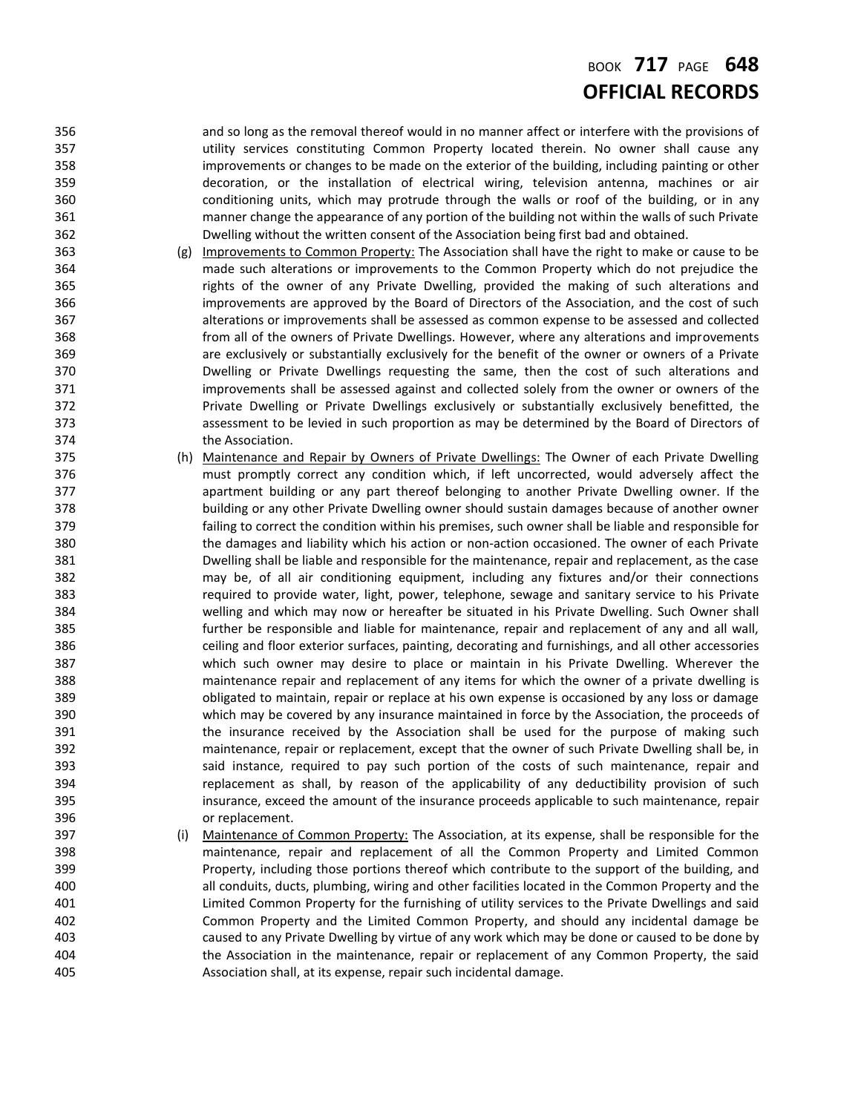### BOOK **717** PAGE **648 OFFICIAL RECORDS**

 and so long as the removal thereof would in no manner affect or interfere with the provisions of utility services constituting Common Property located therein. No owner shall cause any improvements or changes to be made on the exterior of the building, including painting or other decoration, or the installation of electrical wiring, television antenna, machines or air conditioning units, which may protrude through the walls or roof of the building, or in any manner change the appearance of any portion of the building not within the walls of such Private Dwelling without the written consent of the Association being first bad and obtained.

- (g) Improvements to Common Property: The Association shall have the right to make or cause to be made such alterations or improvements to the Common Property which do not prejudice the rights of the owner of any Private Dwelling, provided the making of such alterations and improvements are approved by the Board of Directors of the Association, and the cost of such alterations or improvements shall be assessed as common expense to be assessed and collected from all of the owners of Private Dwellings. However, where any alterations and improvements are exclusively or substantially exclusively for the benefit of the owner or owners of a Private Dwelling or Private Dwellings requesting the same, then the cost of such alterations and 371 improvements shall be assessed against and collected solely from the owner or owners of the Private Dwelling or Private Dwellings exclusively or substantially exclusively benefitted, the assessment to be levied in such proportion as may be determined by the Board of Directors of the Association.
- 375 (h) Maintenance and Repair by Owners of Private Dwellings: The Owner of each Private Dwelling must promptly correct any condition which, if left uncorrected, would adversely affect the apartment building or any part thereof belonging to another Private Dwelling owner. If the building or any other Private Dwelling owner should sustain damages because of another owner failing to correct the condition within his premises, such owner shall be liable and responsible for the damages and liability which his action or non-action occasioned. The owner of each Private Dwelling shall be liable and responsible for the maintenance, repair and replacement, as the case may be, of all air conditioning equipment, including any fixtures and/or their connections required to provide water, light, power, telephone, sewage and sanitary service to his Private welling and which may now or hereafter be situated in his Private Dwelling. Such Owner shall further be responsible and liable for maintenance, repair and replacement of any and all wall, ceiling and floor exterior surfaces, painting, decorating and furnishings, and all other accessories which such owner may desire to place or maintain in his Private Dwelling. Wherever the maintenance repair and replacement of any items for which the owner of a private dwelling is obligated to maintain, repair or replace at his own expense is occasioned by any loss or damage which may be covered by any insurance maintained in force by the Association, the proceeds of the insurance received by the Association shall be used for the purpose of making such maintenance, repair or replacement, except that the owner of such Private Dwelling shall be, in said instance, required to pay such portion of the costs of such maintenance, repair and replacement as shall, by reason of the applicability of any deductibility provision of such insurance, exceed the amount of the insurance proceeds applicable to such maintenance, repair or replacement.
- (i) Maintenance of Common Property: The Association, at its expense, shall be responsible for the maintenance, repair and replacement of all the Common Property and Limited Common 399 Property, including those portions thereof which contribute to the support of the building, and all conduits, ducts, plumbing, wiring and other facilities located in the Common Property and the Limited Common Property for the furnishing of utility services to the Private Dwellings and said Common Property and the Limited Common Property, and should any incidental damage be caused to any Private Dwelling by virtue of any work which may be done or caused to be done by the Association in the maintenance, repair or replacement of any Common Property, the said Association shall, at its expense, repair such incidental damage.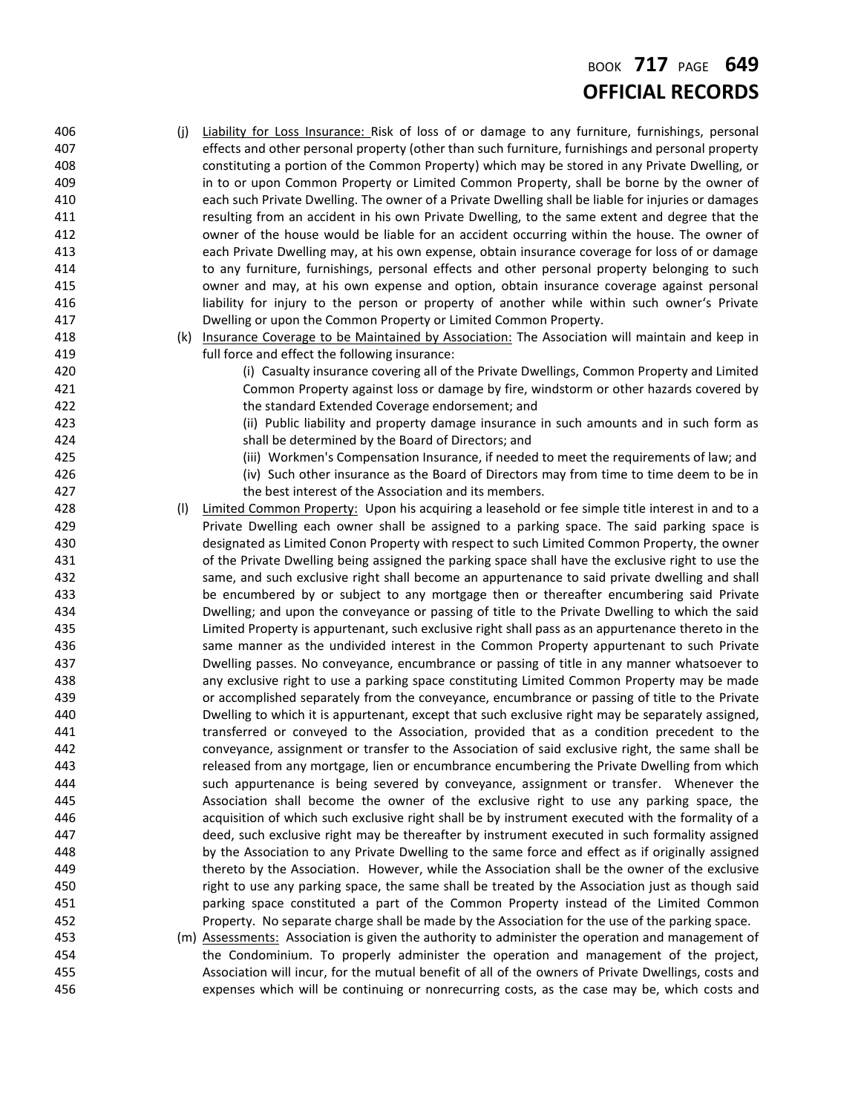# BOOK **717** PAGE **649 OFFICIAL RECORDS**

406 (j) Liability for Loss Insurance: Risk of loss of or damage to any furniture, furnishings, personal effects and other personal property (other than such furniture, furnishings and personal property constituting a portion of the Common Property) which may be stored in any Private Dwelling, or **in to or upon Common Property or Limited Common Property, shall be borne by the owner of**  each such Private Dwelling. The owner of a Private Dwelling shall be liable for injuries or damages resulting from an accident in his own Private Dwelling, to the same extent and degree that the owner of the house would be liable for an accident occurring within the house. The owner of each Private Dwelling may, at his own expense, obtain insurance coverage for loss of or damage to any furniture, furnishings, personal effects and other personal property belonging to such owner and may, at his own expense and option, obtain insurance coverage against personal liability for injury to the person or property of another while within such owner's Private Dwelling or upon the Common Property or Limited Common Property. 418 (k) Insurance Coverage to be Maintained by Association: The Association will maintain and keep in full force and effect the following insurance: (i) Casualty insurance covering all of the Private Dwellings, Common Property and Limited Common Property against loss or damage by fire, windstorm or other hazards covered by the standard Extended Coverage endorsement; and (ii) Public liability and property damage insurance in such amounts and in such form as shall be determined by the Board of Directors; and (iii) Workmen's Compensation Insurance, if needed to meet the requirements of law; and (iv) Such other insurance as the Board of Directors may from time to time deem to be in the best interest of the Association and its members. 428 (I) Limited Common Property: Upon his acquiring a leasehold or fee simple title interest in and to a Private Dwelling each owner shall be assigned to a parking space. The said parking space is designated as Limited Conon Property with respect to such Limited Common Property, the owner of the Private Dwelling being assigned the parking space shall have the exclusive right to use the same, and such exclusive right shall become an appurtenance to said private dwelling and shall be encumbered by or subject to any mortgage then or thereafter encumbering said Private Dwelling; and upon the conveyance or passing of title to the Private Dwelling to which the said Limited Property is appurtenant, such exclusive right shall pass as an appurtenance thereto in the **Same manner as the undivided interest in the Common Property appurtenant to such Private**  Dwelling passes. No conveyance, encumbrance or passing of title in any manner whatsoever to any exclusive right to use a parking space constituting Limited Common Property may be made or accomplished separately from the conveyance, encumbrance or passing of title to the Private Dwelling to which it is appurtenant, except that such exclusive right may be separately assigned, transferred or conveyed to the Association, provided that as a condition precedent to the conveyance, assignment or transfer to the Association of said exclusive right, the same shall be released from any mortgage, lien or encumbrance encumbering the Private Dwelling from which such appurtenance is being severed by conveyance, assignment or transfer. Whenever the Association shall become the owner of the exclusive right to use any parking space, the acquisition of which such exclusive right shall be by instrument executed with the formality of a deed, such exclusive right may be thereafter by instrument executed in such formality assigned by the Association to any Private Dwelling to the same force and effect as if originally assigned thereto by the Association. However, while the Association shall be the owner of the exclusive right to use any parking space, the same shall be treated by the Association just as though said parking space constituted a part of the Common Property instead of the Limited Common Property. No separate charge shall be made by the Association for the use of the parking space. (m) Assessments: Association is given the authority to administer the operation and management of the Condominium. To properly administer the operation and management of the project, Association will incur, for the mutual benefit of all of the owners of Private Dwellings, costs and expenses which will be continuing or nonrecurring costs, as the case may be, which costs and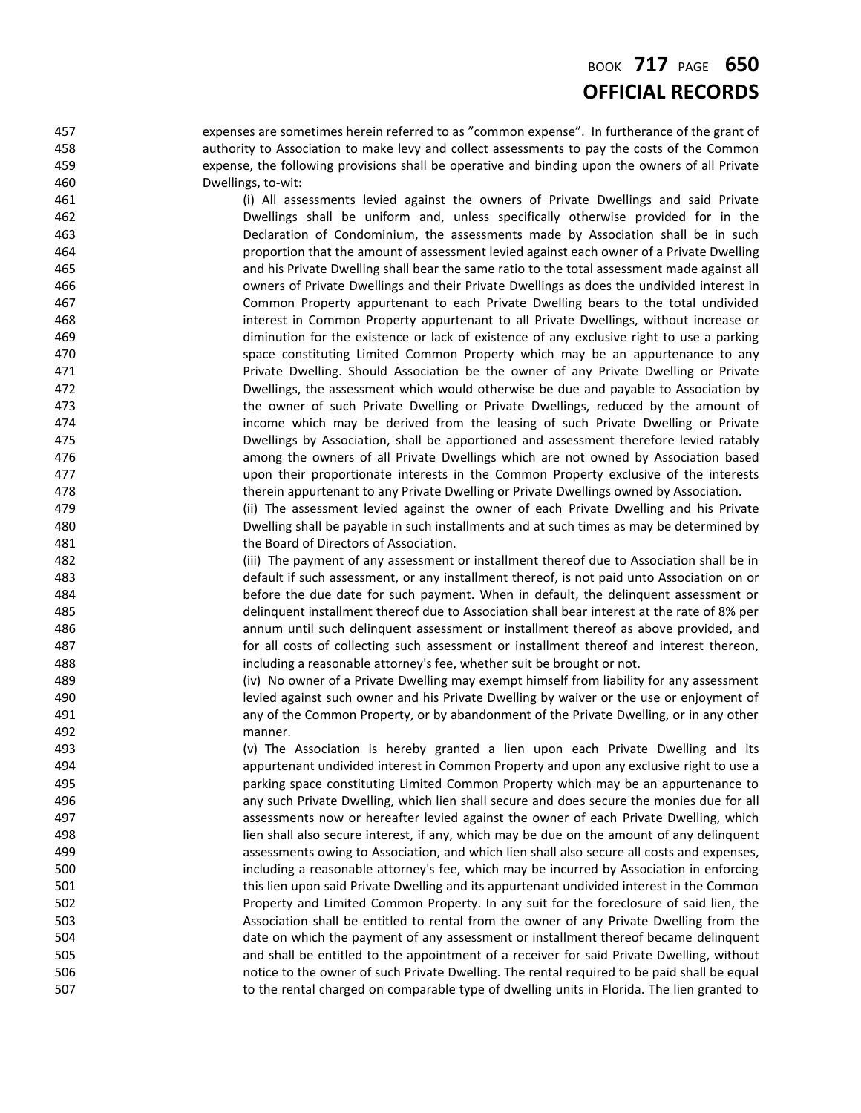### BOOK **717** PAGE **650 OFFICIAL RECORDS**

 expenses are sometimes herein referred to as "common expense". In furtherance of the grant of authority to Association to make levy and collect assessments to pay the costs of the Common expense, the following provisions shall be operative and binding upon the owners of all Private Dwellings, to-wit:

 (i) All assessments levied against the owners of Private Dwellings and said Private Dwellings shall be uniform and, unless specifically otherwise provided for in the Declaration of Condominium, the assessments made by Association shall be in such proportion that the amount of assessment levied against each owner of a Private Dwelling and his Private Dwelling shall bear the same ratio to the total assessment made against all owners of Private Dwellings and their Private Dwellings as does the undivided interest in Common Property appurtenant to each Private Dwelling bears to the total undivided interest in Common Property appurtenant to all Private Dwellings, without increase or diminution for the existence or lack of existence of any exclusive right to use a parking space constituting Limited Common Property which may be an appurtenance to any **Private Dwelling.** Should Association be the owner of any Private Dwelling or Private Dwellings, the assessment which would otherwise be due and payable to Association by the owner of such Private Dwelling or Private Dwellings, reduced by the amount of income which may be derived from the leasing of such Private Dwelling or Private Dwellings by Association, shall be apportioned and assessment therefore levied ratably among the owners of all Private Dwellings which are not owned by Association based upon their proportionate interests in the Common Property exclusive of the interests therein appurtenant to any Private Dwelling or Private Dwellings owned by Association.

479 (ii) The assessment levied against the owner of each Private Dwelling and his Private Dwelling shall be payable in such installments and at such times as may be determined by the Board of Directors of Association.

 (iii) The payment of any assessment or installment thereof due to Association shall be in default if such assessment, or any installment thereof, is not paid unto Association on or before the due date for such payment. When in default, the delinquent assessment or delinquent installment thereof due to Association shall bear interest at the rate of 8% per annum until such delinquent assessment or installment thereof as above provided, and for all costs of collecting such assessment or installment thereof and interest thereon, including a reasonable attorney's fee, whether suit be brought or not.

489 (iv) No owner of a Private Dwelling may exempt himself from liability for any assessment levied against such owner and his Private Dwelling by waiver or the use or enjoyment of any of the Common Property, or by abandonment of the Private Dwelling, or in any other manner.

 (v) The Association is hereby granted a lien upon each Private Dwelling and its appurtenant undivided interest in Common Property and upon any exclusive right to use a parking space constituting Limited Common Property which may be an appurtenance to any such Private Dwelling, which lien shall secure and does secure the monies due for all assessments now or hereafter levied against the owner of each Private Dwelling, which lien shall also secure interest, if any, which may be due on the amount of any delinquent assessments owing to Association, and which lien shall also secure all costs and expenses, **including a reasonable attorney's fee, which may be incurred by Association in enforcing**  this lien upon said Private Dwelling and its appurtenant undivided interest in the Common **Property and Limited Common Property.** In any suit for the foreclosure of said lien, the Association shall be entitled to rental from the owner of any Private Dwelling from the date on which the payment of any assessment or installment thereof became delinquent and shall be entitled to the appointment of a receiver for said Private Dwelling, without notice to the owner of such Private Dwelling. The rental required to be paid shall be equal 507 to the rental charged on comparable type of dwelling units in Florida. The lien granted to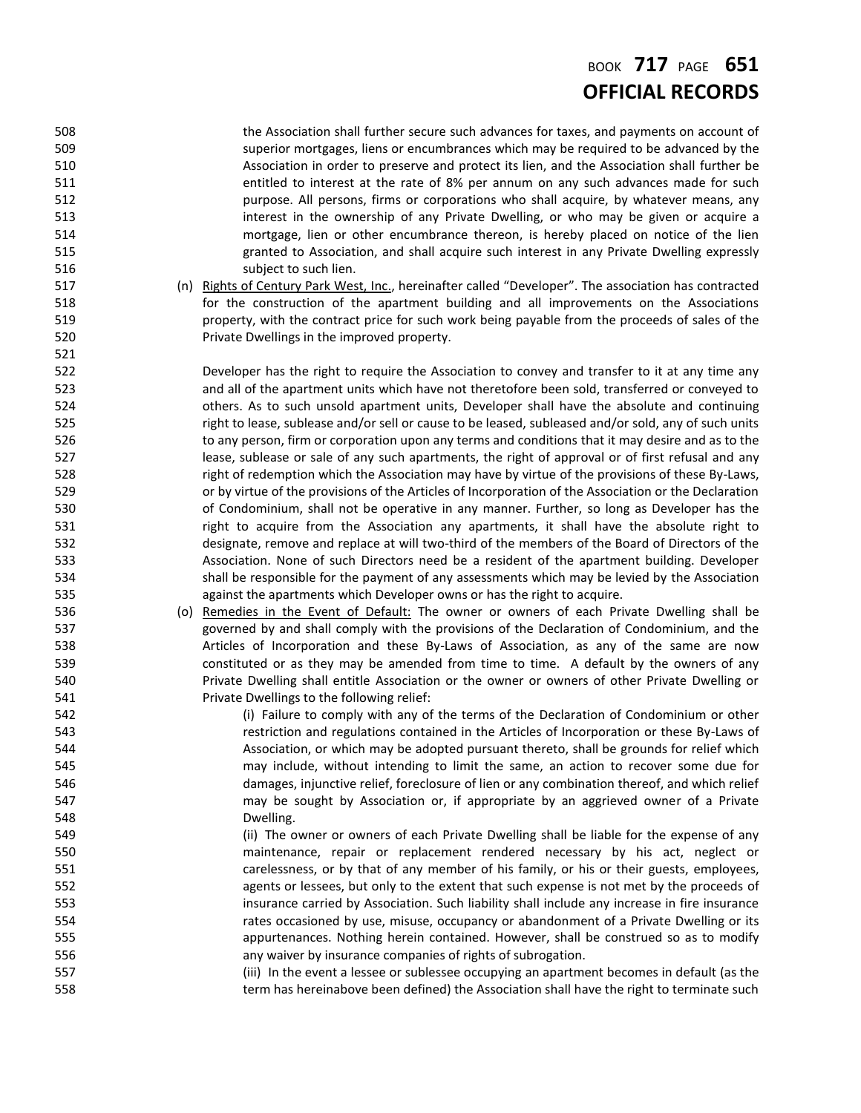## BOOK **717** PAGE **651 OFFICIAL RECORDS**

 the Association shall further secure such advances for taxes, and payments on account of superior mortgages, liens or encumbrances which may be required to be advanced by the Association in order to preserve and protect its lien, and the Association shall further be entitled to interest at the rate of 8% per annum on any such advances made for such purpose. All persons, firms or corporations who shall acquire, by whatever means, any interest in the ownership of any Private Dwelling, or who may be given or acquire a mortgage, lien or other encumbrance thereon, is hereby placed on notice of the lien granted to Association, and shall acquire such interest in any Private Dwelling expressly 516 subject to such lien.

 (n) Rights of Century Park West, Inc., hereinafter called "Developer". The association has contracted for the construction of the apartment building and all improvements on the Associations property, with the contract price for such work being payable from the proceeds of sales of the Private Dwellings in the improved property.

 Developer has the right to require the Association to convey and transfer to it at any time any and all of the apartment units which have not theretofore been sold, transferred or conveyed to others. As to such unsold apartment units, Developer shall have the absolute and continuing 525 right to lease, sublease and/or sell or cause to be leased, subleased and/or sold, any of such units 526 to any person, firm or corporation upon any terms and conditions that it may desire and as to the lease, sublease or sale of any such apartments, the right of approval or of first refusal and any right of redemption which the Association may have by virtue of the provisions of these By-Laws, or by virtue of the provisions of the Articles of Incorporation of the Association or the Declaration 530 of Condominium, shall not be operative in any manner. Further, so long as Developer has the **right to acquire from the Association any apartments, it shall have the absolute right to**  designate, remove and replace at will two-third of the members of the Board of Directors of the Association. None of such Directors need be a resident of the apartment building. Developer 534 shall be responsible for the payment of any assessments which may be levied by the Association against the apartments which Developer owns or has the right to acquire.

 (o) Remedies in the Event of Default: The owner or owners of each Private Dwelling shall be governed by and shall comply with the provisions of the Declaration of Condominium, and the Articles of Incorporation and these By-Laws of Association, as any of the same are now constituted or as they may be amended from time to time. A default by the owners of any Private Dwelling shall entitle Association or the owner or owners of other Private Dwelling or Private Dwellings to the following relief:

 (i) Failure to comply with any of the terms of the Declaration of Condominium or other restriction and regulations contained in the Articles of Incorporation or these By-Laws of Association, or which may be adopted pursuant thereto, shall be grounds for relief which may include, without intending to limit the same, an action to recover some due for damages, injunctive relief, foreclosure of lien or any combination thereof, and which relief may be sought by Association or, if appropriate by an aggrieved owner of a Private Dwelling.

 (ii) The owner or owners of each Private Dwelling shall be liable for the expense of any maintenance, repair or replacement rendered necessary by his act, neglect or 551 carelessness, or by that of any member of his family, or his or their guests, employees, agents or lessees, but only to the extent that such expense is not met by the proceeds of insurance carried by Association. Such liability shall include any increase in fire insurance **rates occasioned by use, misuse, occupancy or abandonment of a Private Dwelling or its**  appurtenances. Nothing herein contained. However, shall be construed so as to modify any waiver by insurance companies of rights of subrogation.

 (iii) In the event a lessee or sublessee occupying an apartment becomes in default (as the 558 term has hereinabove been defined) the Association shall have the right to terminate such